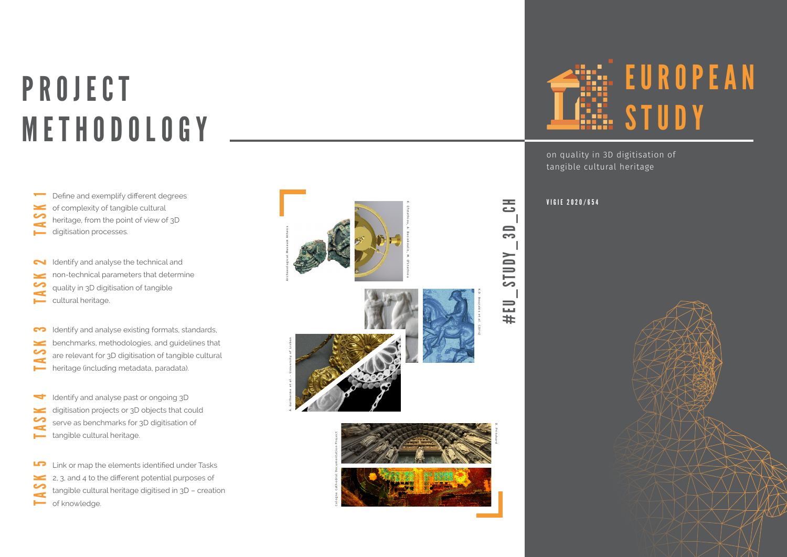# **PROJECT** METHODOLOGY

of complexity of tangible cultural heritage, from the point of view of 3D  $\leq$ digitisation processes.

Identify and analyse the technical and non-technical parameters that determine quality in 3D digitisation of tangible  $\overline{f}$ cultural heritage.

Identify and analyse existing formats, standards, benchmarks, methodologies, and guidelines that are relevant for 3D digitisation of tangible cultural TASK 3 heritage (including metadata, paradata).

Identify and analyse past or ongoing 3D

- digitisation projects or 3D objects that could
- serve as benchmarks for 3D digitisation of TASK 4 tangible cultural heritage.

Link or map the elements identified under Tasks

- 2, 3, and 4 to the different potential purposes of
- tangible cultural heritage digitised in 3D creation TASK 5 of knowledge.





K.D. Bouzakis et al. (2014)

#EU\_STUDY\_3D\_CH

**AUNIS** 

#EU

 $\overline{\mathbf{S}}$ 



on quality in 3D digitisation of tangible cultural heritage